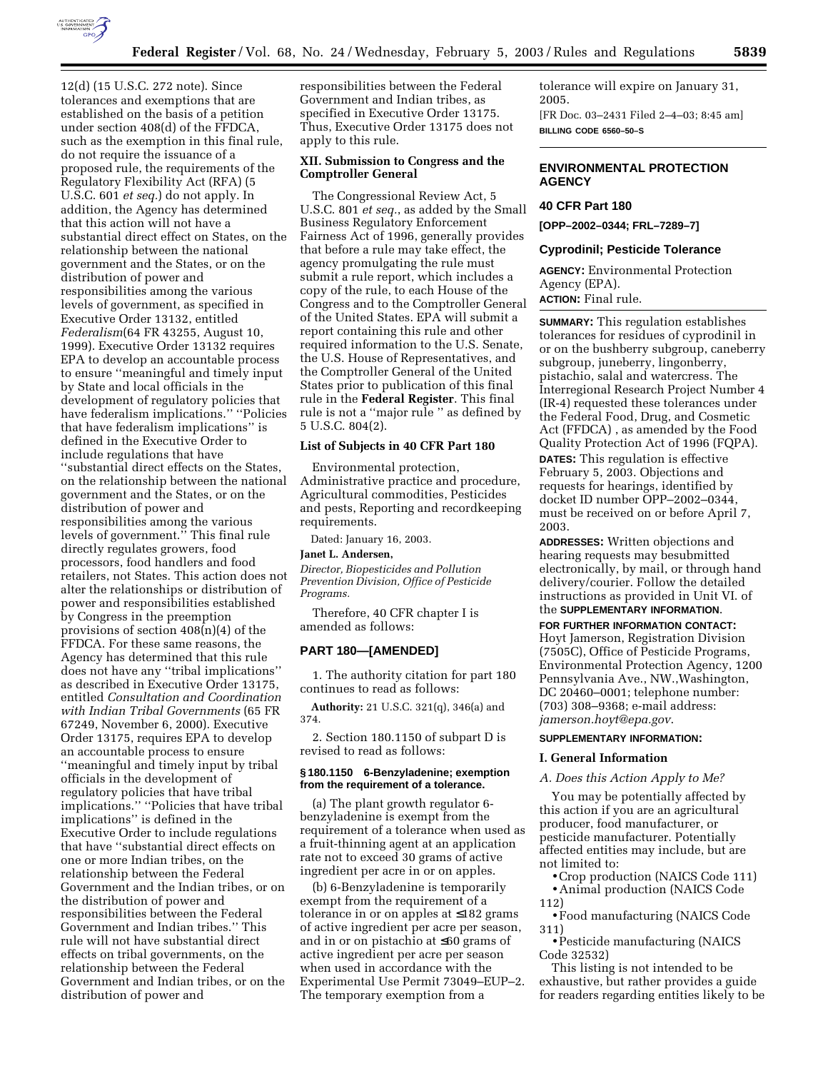

12(d) (15 U.S.C. 272 note). Since tolerances and exemptions that are established on the basis of a petition under section 408(d) of the FFDCA, such as the exemption in this final rule, do not require the issuance of a proposed rule, the requirements of the Regulatory Flexibility Act (RFA) (5 U.S.C. 601 *et seq.*) do not apply. In addition, the Agency has determined that this action will not have a substantial direct effect on States, on the relationship between the national government and the States, or on the distribution of power and responsibilities among the various levels of government, as specified in Executive Order 13132, entitled *Federalism*(64 FR 43255, August 10, 1999). Executive Order 13132 requires EPA to develop an accountable process to ensure ''meaningful and timely input by State and local officials in the development of regulatory policies that have federalism implications.'' ''Policies that have federalism implications'' is defined in the Executive Order to include regulations that have ''substantial direct effects on the States, on the relationship between the national government and the States, or on the distribution of power and responsibilities among the various levels of government.'' This final rule directly regulates growers, food processors, food handlers and food retailers, not States. This action does not alter the relationships or distribution of power and responsibilities established by Congress in the preemption provisions of section 408(n)(4) of the FFDCA. For these same reasons, the Agency has determined that this rule does not have any ''tribal implications'' as described in Executive Order 13175, entitled *Consultation and Coordination with Indian Tribal Governments* (65 FR 67249, November 6, 2000). Executive Order 13175, requires EPA to develop an accountable process to ensure ''meaningful and timely input by tribal officials in the development of regulatory policies that have tribal implications.'' ''Policies that have tribal implications'' is defined in the Executive Order to include regulations that have ''substantial direct effects on one or more Indian tribes, on the relationship between the Federal Government and the Indian tribes, or on the distribution of power and responsibilities between the Federal Government and Indian tribes.'' This rule will not have substantial direct effects on tribal governments, on the relationship between the Federal Government and Indian tribes, or on the distribution of power and

responsibilities between the Federal Government and Indian tribes, as specified in Executive Order 13175. Thus, Executive Order 13175 does not apply to this rule.

#### **XII. Submission to Congress and the Comptroller General**

The Congressional Review Act, 5 U.S.C. 801 *et seq.*, as added by the Small Business Regulatory Enforcement Fairness Act of 1996, generally provides that before a rule may take effect, the agency promulgating the rule must submit a rule report, which includes a copy of the rule, to each House of the Congress and to the Comptroller General of the United States. EPA will submit a report containing this rule and other required information to the U.S. Senate, the U.S. House of Representatives, and the Comptroller General of the United States prior to publication of this final rule in the **Federal Register**. This final rule is not a ''major rule '' as defined by 5 U.S.C. 804(2).

# **List of Subjects in 40 CFR Part 180**

Environmental protection, Administrative practice and procedure, Agricultural commodities, Pesticides and pests, Reporting and recordkeeping requirements.

Dated: January 16, 2003.

#### **Janet L. Andersen,**

*Director, Biopesticides and Pollution Prevention Division, Office of Pesticide Programs.*

Therefore, 40 CFR chapter I is amended as follows:

## **PART 180—[AMENDED]**

1. The authority citation for part 180 continues to read as follows:

**Authority:** 21 U.S.C. 321(q), 346(a) and 374.

2. Section 180.1150 of subpart D is revised to read as follows:

#### **§ 180.1150 6-Benzyladenine; exemption from the requirement of a tolerance.**

(a) The plant growth regulator 6 benzyladenine is exempt from the requirement of a tolerance when used as a fruit-thinning agent at an application rate not to exceed 30 grams of active ingredient per acre in or on apples.

(b) 6-Benzyladenine is temporarily exempt from the requirement of a tolerance in or on apples at ≤182 grams of active ingredient per acre per season, and in or on pistachio at ≤60 grams of active ingredient per acre per season when used in accordance with the Experimental Use Permit 73049–EUP–2. The temporary exemption from a

tolerance will expire on January 31, 2005. [FR Doc. 03–2431 Filed 2–4–03; 8:45 am] **BILLING CODE 6560–50–S**

# **ENVIRONMENTAL PROTECTION AGENCY**

#### **40 CFR Part 180**

**[OPP–2002–0344; FRL–7289–7]** 

#### **Cyprodinil; Pesticide Tolerance**

**AGENCY:** Environmental Protection Agency (EPA). **ACTION:** Final rule.

**SUMMARY:** This regulation establishes tolerances for residues of cyprodinil in or on the bushberry subgroup, caneberry subgroup, juneberry, lingonberry, pistachio, salal and watercress. The Interregional Research Project Number 4 (IR-4) requested these tolerances under the Federal Food, Drug, and Cosmetic Act (FFDCA) , as amended by the Food Quality Protection Act of 1996 (FQPA).

**DATES:** This regulation is effective February 5, 2003. Objections and requests for hearings, identified by docket ID number OPP–2002–0344, must be received on or before April 7, 2003.

**ADDRESSES:** Written objections and hearing requests may besubmitted electronically, by mail, or through hand delivery/courier. Follow the detailed instructions as provided in Unit VI. of the **SUPPLEMENTARY INFORMATION**.

# **FOR FURTHER INFORMATION CONTACT:**

Hoyt Jamerson, Registration Division (7505C), Office of Pesticide Programs, Environmental Protection Agency, 1200 Pennsylvania Ave., NW.,Washington, DC 20460–0001; telephone number: (703) 308–9368; e-mail address: *jamerson.hoyt@epa.gov*.

## **SUPPLEMENTARY INFORMATION:**

#### **I. General Information**

#### *A. Does this Action Apply to Me?*

You may be potentially affected by this action if you are an agricultural producer, food manufacturer, or pesticide manufacturer. Potentially affected entities may include, but are not limited to:

•Crop production (NAICS Code 111) • Animal production (NAICS Code 112)

• Food manufacturing (NAICS Code 311)

• Pesticide manufacturing (NAICS Code 32532)

This listing is not intended to be exhaustive, but rather provides a guide for readers regarding entities likely to be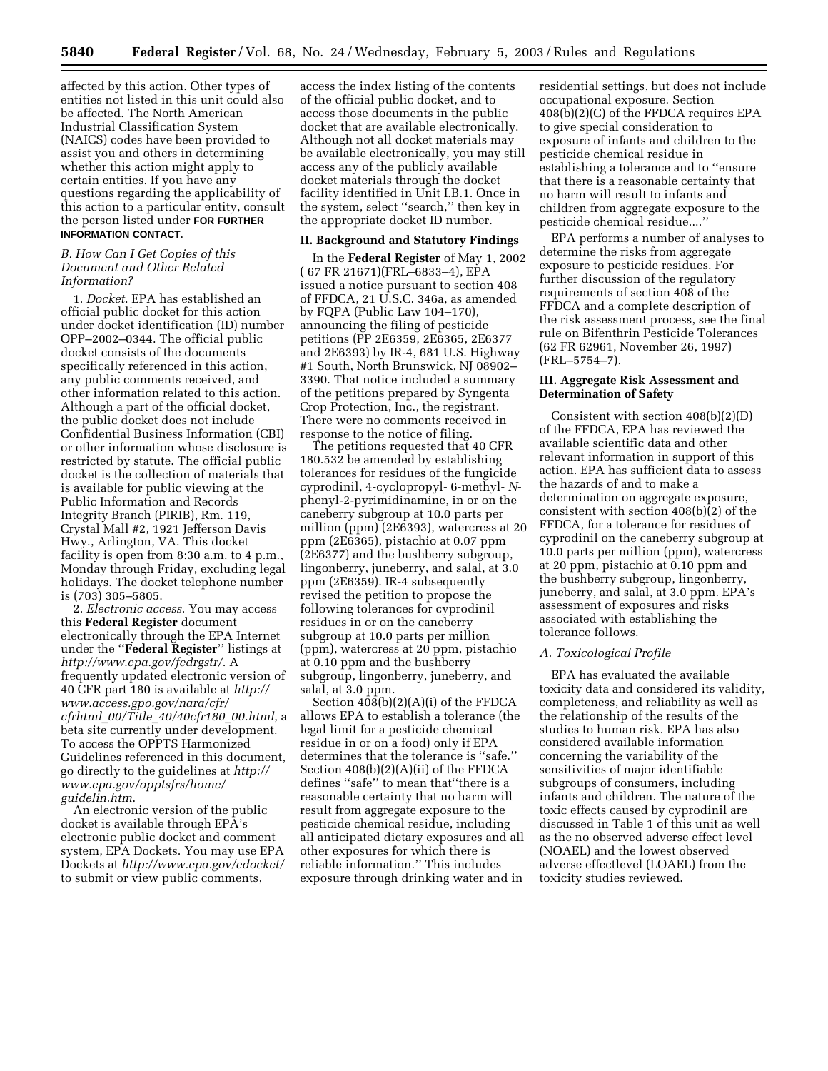affected by this action. Other types of entities not listed in this unit could also be affected. The North American Industrial Classification System (NAICS) codes have been provided to assist you and others in determining whether this action might apply to certain entities. If you have any questions regarding the applicability of this action to a particular entity, consult the person listed under **FOR FURTHER INFORMATION CONTACT**.

## *B. How Can I Get Copies of this Document and Other Related Information?*

1. *Docket*. EPA has established an official public docket for this action under docket identification (ID) number OPP–2002–0344. The official public docket consists of the documents specifically referenced in this action, any public comments received, and other information related to this action. Although a part of the official docket, the public docket does not include Confidential Business Information (CBI) or other information whose disclosure is restricted by statute. The official public docket is the collection of materials that is available for public viewing at the Public Information and Records Integrity Branch (PIRIB), Rm. 119, Crystal Mall #2, 1921 Jefferson Davis Hwy., Arlington, VA. This docket facility is open from 8:30 a.m. to 4 p.m., Monday through Friday, excluding legal holidays. The docket telephone number is (703) 305–5805.

2. *Electronic access*. You may access this **Federal Register** document electronically through the EPA Internet under the ''**Federal Register**'' listings at *http://www.epa.gov/fedrgstr/*. A frequently updated electronic version of 40 CFR part 180 is available at *http:// www.access.gpo.gov/nara/cfr/ cfrhtml*\_*00/Title*\_*40/40cfr180*\_*00.html*, a beta site currently under development. To access the OPPTS Harmonized Guidelines referenced in this document, go directly to the guidelines at *http:// www.epa.gov/opptsfrs/home/ guidelin.htm*.

An electronic version of the public docket is available through EPA's electronic public docket and comment system, EPA Dockets. You may use EPA Dockets at *http://www.epa.gov/edocket/* to submit or view public comments,

access the index listing of the contents of the official public docket, and to access those documents in the public docket that are available electronically. Although not all docket materials may be available electronically, you may still access any of the publicly available docket materials through the docket facility identified in Unit I.B.1. Once in the system, select ''search,'' then key in the appropriate docket ID number.

#### **II. Background and Statutory Findings**

In the **Federal Register** of May 1, 2002 ( 67 FR 21671)(FRL–6833–4), EPA issued a notice pursuant to section 408 of FFDCA, 21 U.S.C. 346a, as amended by FQPA (Public Law 104–170), announcing the filing of pesticide petitions (PP 2E6359, 2E6365, 2E6377 and 2E6393) by IR-4, 681 U.S. Highway #1 South, North Brunswick, NJ 08902– 3390. That notice included a summary of the petitions prepared by Syngenta Crop Protection, Inc., the registrant. There were no comments received in response to the notice of filing.

The petitions requested that 40 CFR 180.532 be amended by establishing tolerances for residues of the fungicide cyprodinil, 4-cyclopropyl- 6-methyl- *N*phenyl-2-pyrimidinamine, in or on the caneberry subgroup at 10.0 parts per million (ppm) (2E6393), watercress at 20 ppm (2E6365), pistachio at 0.07 ppm (2E6377) and the bushberry subgroup, lingonberry, juneberry, and salal, at 3.0 ppm (2E6359). IR-4 subsequently revised the petition to propose the following tolerances for cyprodinil residues in or on the caneberry subgroup at 10.0 parts per million (ppm), watercress at 20 ppm, pistachio at 0.10 ppm and the bushberry subgroup, lingonberry, juneberry, and salal, at 3.0 ppm.

Section 408(b)(2)(A)(i) of the FFDCA allows EPA to establish a tolerance (the legal limit for a pesticide chemical residue in or on a food) only if EPA determines that the tolerance is ''safe.'' Section 408(b)(2)(A)(ii) of the FFDCA defines ''safe'' to mean that''there is a reasonable certainty that no harm will result from aggregate exposure to the pesticide chemical residue, including all anticipated dietary exposures and all other exposures for which there is reliable information.'' This includes exposure through drinking water and in residential settings, but does not include occupational exposure. Section 408(b)(2)(C) of the FFDCA requires EPA to give special consideration to exposure of infants and children to the pesticide chemical residue in establishing a tolerance and to ''ensure that there is a reasonable certainty that no harm will result to infants and children from aggregate exposure to the pesticide chemical residue....''

EPA performs a number of analyses to determine the risks from aggregate exposure to pesticide residues. For further discussion of the regulatory requirements of section 408 of the FFDCA and a complete description of the risk assessment process, see the final rule on Bifenthrin Pesticide Tolerances (62 FR 62961, November 26, 1997) (FRL–5754–7).

### **III. Aggregate Risk Assessment and Determination of Safety**

Consistent with section 408(b)(2)(D) of the FFDCA, EPA has reviewed the available scientific data and other relevant information in support of this action. EPA has sufficient data to assess the hazards of and to make a determination on aggregate exposure, consistent with section  $408(b)(2)$  of the FFDCA, for a tolerance for residues of cyprodinil on the caneberry subgroup at 10.0 parts per million (ppm), watercress at 20 ppm, pistachio at 0.10 ppm and the bushberry subgroup, lingonberry, juneberry, and salal, at 3.0 ppm. EPA's assessment of exposures and risks associated with establishing the tolerance follows.

# *A. Toxicological Profile*

EPA has evaluated the available toxicity data and considered its validity, completeness, and reliability as well as the relationship of the results of the studies to human risk. EPA has also considered available information concerning the variability of the sensitivities of major identifiable subgroups of consumers, including infants and children. The nature of the toxic effects caused by cyprodinil are discussed in Table 1 of this unit as well as the no observed adverse effect level (NOAEL) and the lowest observed adverse effectlevel (LOAEL) from the toxicity studies reviewed.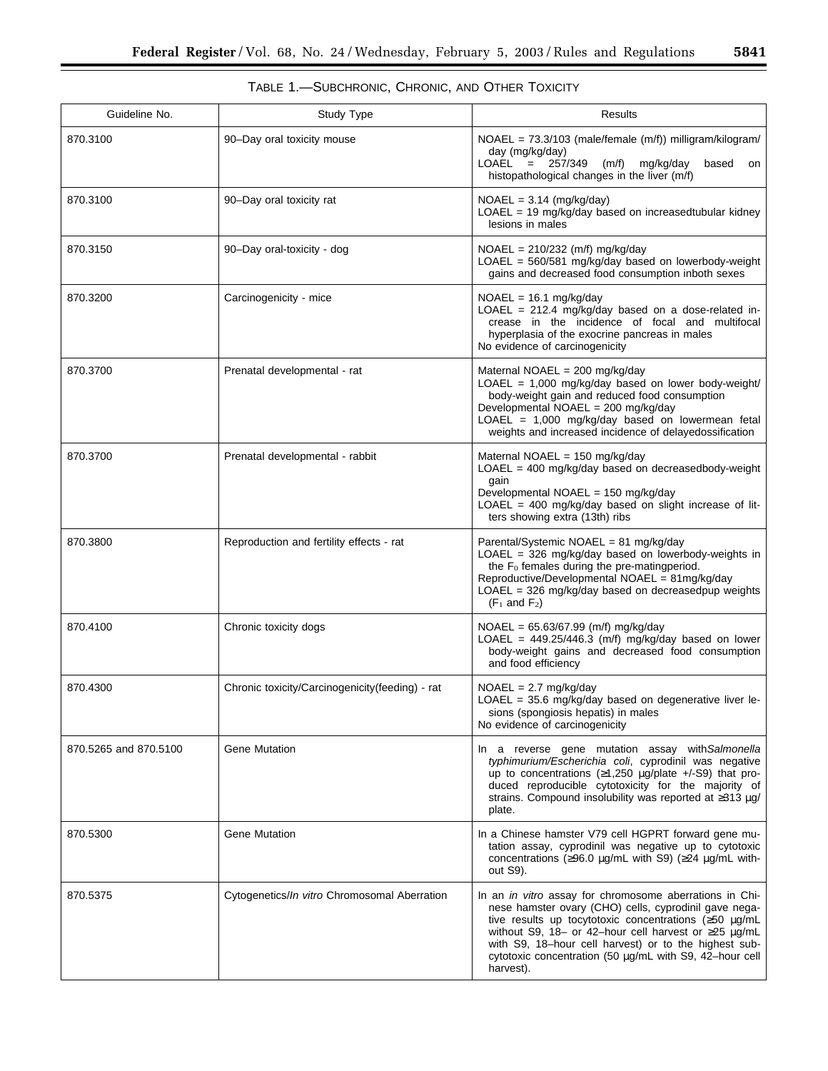| Guideline No.         | Study Type                                      | Results                                                                                                                                                                                                                                                                                                                                                                                |  |  |  |
|-----------------------|-------------------------------------------------|----------------------------------------------------------------------------------------------------------------------------------------------------------------------------------------------------------------------------------------------------------------------------------------------------------------------------------------------------------------------------------------|--|--|--|
| 870.3100              | 90-Day oral toxicity mouse                      | NOAEL = 73.3/103 (male/female (m/f)) milligram/kilogram/<br>day (mg/kg/day)<br>$LOAEL = 257/349$<br>(m/f) mg/kg/day<br>based<br>on<br>histopathological changes in the liver (m/f)                                                                                                                                                                                                     |  |  |  |
| 870.3100              | 90-Day oral toxicity rat                        | $NOAEL = 3.14 (mg/kg/day)$<br>$LOAEL = 19 mg/kg/day$ based on increasedtubular kidney<br>lesions in males                                                                                                                                                                                                                                                                              |  |  |  |
| 870.3150              | 90-Day oral-toxicity - dog                      | $NOAEL = 210/232$ (m/f) mg/kg/day<br>LOAEL = 560/581 mg/kg/day based on lowerbody-weight<br>gains and decreased food consumption inboth sexes                                                                                                                                                                                                                                          |  |  |  |
| 870.3200              | Carcinogenicity - mice                          | $NOAEL = 16.1 mg/kg/day$<br>LOAEL = $212.4$ mg/kg/day based on a dose-related in-<br>crease in the incidence of focal and multifocal<br>hyperplasia of the exocrine pancreas in males<br>No evidence of carcinogenicity                                                                                                                                                                |  |  |  |
| 870.3700              | Prenatal developmental - rat                    | Maternal NOAEL = 200 mg/kg/day<br>LOAEL = 1,000 mg/kg/day based on lower body-weight/<br>body-weight gain and reduced food consumption<br>Developmental NOAEL = 200 mg/kg/day<br>LOAEL = 1,000 mg/kg/day based on lowermean fetal<br>weights and increased incidence of delayedossification                                                                                            |  |  |  |
| 870.3700              | Prenatal developmental - rabbit                 | Maternal NOAEL = 150 mg/kg/day<br>$LOAEL = 400$ mg/kg/day based on decreasedbody-weight<br>gain<br>Developmental NOAEL = 150 mg/kg/day<br>$LOAEL = 400$ mg/kg/day based on slight increase of lit-<br>ters showing extra (13th) ribs                                                                                                                                                   |  |  |  |
| 870.3800              | Reproduction and fertility effects - rat        | Parental/Systemic NOAEL = 81 mg/kg/day<br>LOAEL = $326$ mg/kg/day based on lowerbody-weights in<br>the F <sub>0</sub> females during the pre-matingperiod.<br>Reproductive/Developmental NOAEL = 81mg/kg/day<br>LOAEL = 326 mg/kg/day based on decreasedpup weights<br>$(F_1$ and $F_2)$                                                                                               |  |  |  |
| 870.4100              | Chronic toxicity dogs                           | NOAEL = 65.63/67.99 (m/f) mg/kg/day<br>LOAEL = $449.25/446.3$ (m/f) mg/kg/day based on lower<br>body-weight gains and decreased food consumption<br>and food efficiency                                                                                                                                                                                                                |  |  |  |
| 870.4300              | Chronic toxicity/Carcinogenicity(feeding) - rat | $NOAEL = 2.7 mg/kg/day$<br>LOAEL = $35.6$ mg/kg/day based on degenerative liver le-<br>sions (spongiosis hepatis) in males<br>No evidence of carcinogenicity                                                                                                                                                                                                                           |  |  |  |
| 870.5265 and 870.5100 | <b>Gene Mutation</b>                            | In a reverse gene mutation assay with Salmonella<br>typhimurium/Escherichia coli, cyprodinil was negative<br>up to concentrations ( $\geq$ 1,250 µg/plate +/-S9) that pro-<br>duced reproducible cytotoxicity for the majority of<br>strains. Compound insolubility was reported at ≥313 µg/<br>plate.                                                                                 |  |  |  |
| 870.5300              | <b>Gene Mutation</b>                            | In a Chinese hamster V79 cell HGPRT forward gene mu-<br>tation assay, cyprodinil was negative up to cytotoxic<br>concentrations (≥96.0 μg/mL with S9) (≥24 μg/mL with-<br>out S9).                                                                                                                                                                                                     |  |  |  |
| 870.5375              | Cytogenetics/In vitro Chromosomal Aberration    | In an <i>in vitro</i> assay for chromosome aberrations in Chi-<br>nese hamster ovary (CHO) cells, cyprodinil gave nega-<br>tive results up tocytotoxic concentrations ( $\geq$ 50 µg/mL<br>without S9, 18- or 42-hour cell harvest or $\geq$ 25 µg/mL<br>with S9, 18-hour cell harvest) or to the highest sub-<br>cytotoxic concentration (50 µg/mL with S9, 42-hour cell<br>harvest). |  |  |  |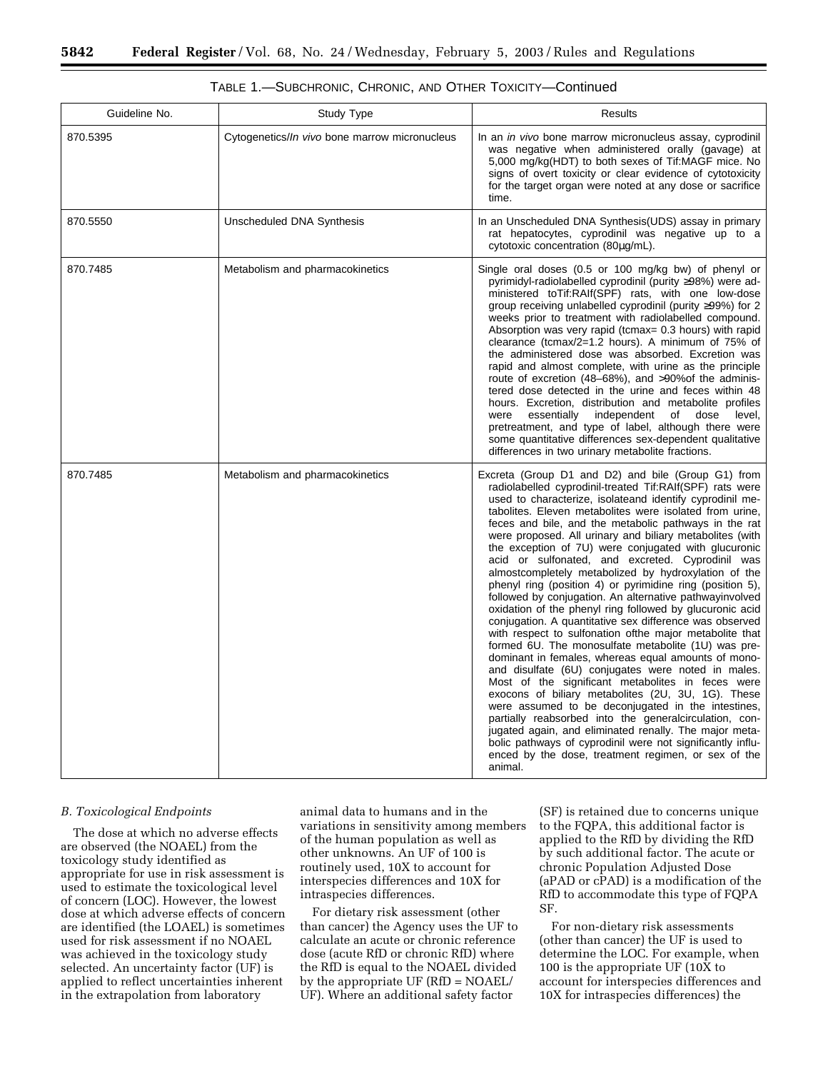| Guideline No. | Study Type                                            | <b>Results</b>                                                                                                                                                                                                                                                                                                                                                                                                                                                                                                                                                                                                                                                                                                                                                                                                                                                                                                                                                                                                                                                                                                                                                                                                                                                                                                                                                                                                                     |
|---------------|-------------------------------------------------------|------------------------------------------------------------------------------------------------------------------------------------------------------------------------------------------------------------------------------------------------------------------------------------------------------------------------------------------------------------------------------------------------------------------------------------------------------------------------------------------------------------------------------------------------------------------------------------------------------------------------------------------------------------------------------------------------------------------------------------------------------------------------------------------------------------------------------------------------------------------------------------------------------------------------------------------------------------------------------------------------------------------------------------------------------------------------------------------------------------------------------------------------------------------------------------------------------------------------------------------------------------------------------------------------------------------------------------------------------------------------------------------------------------------------------------|
| 870.5395      | Cytogenetics/ <i>In vivo</i> bone marrow micronucleus | In an <i>in vivo</i> bone marrow micronucleus assay, cyprodinil<br>was negative when administered orally (gavage) at<br>5,000 mg/kg(HDT) to both sexes of Tif:MAGF mice. No<br>signs of overt toxicity or clear evidence of cytotoxicity<br>for the target organ were noted at any dose or sacrifice<br>time.                                                                                                                                                                                                                                                                                                                                                                                                                                                                                                                                                                                                                                                                                                                                                                                                                                                                                                                                                                                                                                                                                                                      |
| 870.5550      | Unscheduled DNA Synthesis                             | In an Unscheduled DNA Synthesis (UDS) assay in primary<br>rat hepatocytes, cyprodinil was negative up to a<br>cytotoxic concentration (80µg/mL).                                                                                                                                                                                                                                                                                                                                                                                                                                                                                                                                                                                                                                                                                                                                                                                                                                                                                                                                                                                                                                                                                                                                                                                                                                                                                   |
| 870.7485      | Metabolism and pharmacokinetics                       | Single oral doses (0.5 or 100 mg/kg bw) of phenyl or<br>pyrimidyl-radiolabelled cyprodinil (purity ≥98%) were ad-<br>ministered toTif:RAIf(SPF) rats, with one low-dose<br>group receiving unlabelled cyprodinil (purity ≥99%) for 2<br>weeks prior to treatment with radiolabelled compound.<br>Absorption was very rapid (tcmax= 0.3 hours) with rapid<br>clearance (tcmax/2=1.2 hours). A minimum of 75% of<br>the administered dose was absorbed. Excretion was<br>rapid and almost complete, with urine as the principle<br>route of excretion (48-68%), and >90%of the adminis-<br>tered dose detected in the urine and feces within 48<br>hours. Excretion, distribution and metabolite profiles<br>essentially<br>independent of dose<br>level.<br>were<br>pretreatment, and type of label, although there were<br>some quantitative differences sex-dependent qualitative<br>differences in two urinary metabolite fractions.                                                                                                                                                                                                                                                                                                                                                                                                                                                                                             |
| 870.7485      | Metabolism and pharmacokinetics                       | Excreta (Group D1 and D2) and bile (Group G1) from<br>radiolabelled cyprodinil-treated Tif:RAIf(SPF) rats were<br>used to characterize, isolateand identify cyprodinil me-<br>tabolites. Eleven metabolites were isolated from urine,<br>feces and bile, and the metabolic pathways in the rat<br>were proposed. All urinary and biliary metabolites (with<br>the exception of 7U) were conjugated with glucuronic<br>acid or sulfonated, and excreted. Cyprodinil was<br>almostcompletely metabolized by hydroxylation of the<br>phenyl ring (position 4) or pyrimidine ring (position 5),<br>followed by conjugation. An alternative pathwayinvolved<br>oxidation of the phenyl ring followed by glucuronic acid<br>conjugation. A quantitative sex difference was observed<br>with respect to sulfonation of the major metabolite that<br>formed 6U. The monosulfate metabolite (1U) was pre-<br>dominant in females, whereas equal amounts of mono-<br>and disulfate (6U) conjugates were noted in males.<br>Most of the significant metabolites in feces were<br>exocons of biliary metabolites (2U, 3U, 1G). These<br>were assumed to be deconjugated in the intestines,<br>partially reabsorbed into the generalcirculation, con-<br>jugated again, and eliminated renally. The major meta-<br>bolic pathways of cyprodinil were not significantly influ-<br>enced by the dose, treatment regimen, or sex of the<br>animal. |

#### *B. Toxicological Endpoints*

The dose at which no adverse effects are observed (the NOAEL) from the toxicology study identified as appropriate for use in risk assessment is used to estimate the toxicological level of concern (LOC). However, the lowest dose at which adverse effects of concern are identified (the LOAEL) is sometimes used for risk assessment if no NOAEL was achieved in the toxicology study selected. An uncertainty factor (UF) is applied to reflect uncertainties inherent in the extrapolation from laboratory

animal data to humans and in the variations in sensitivity among members of the human population as well as other unknowns. An UF of 100 is routinely used, 10X to account for interspecies differences and 10X for intraspecies differences.

For dietary risk assessment (other than cancer) the Agency uses the UF to calculate an acute or chronic reference dose (acute RfD or chronic RfD) where the RfD is equal to the NOAEL divided by the appropriate UF (RfD = NOAEL/ UF). Where an additional safety factor

(SF) is retained due to concerns unique to the FQPA, this additional factor is applied to the RfD by dividing the RfD by such additional factor. The acute or chronic Population Adjusted Dose (aPAD or cPAD) is a modification of the RfD to accommodate this type of FQPA SF.

For non-dietary risk assessments (other than cancer) the UF is used to determine the LOC. For example, when 100 is the appropriate UF (10X to account for interspecies differences and 10X for intraspecies differences) the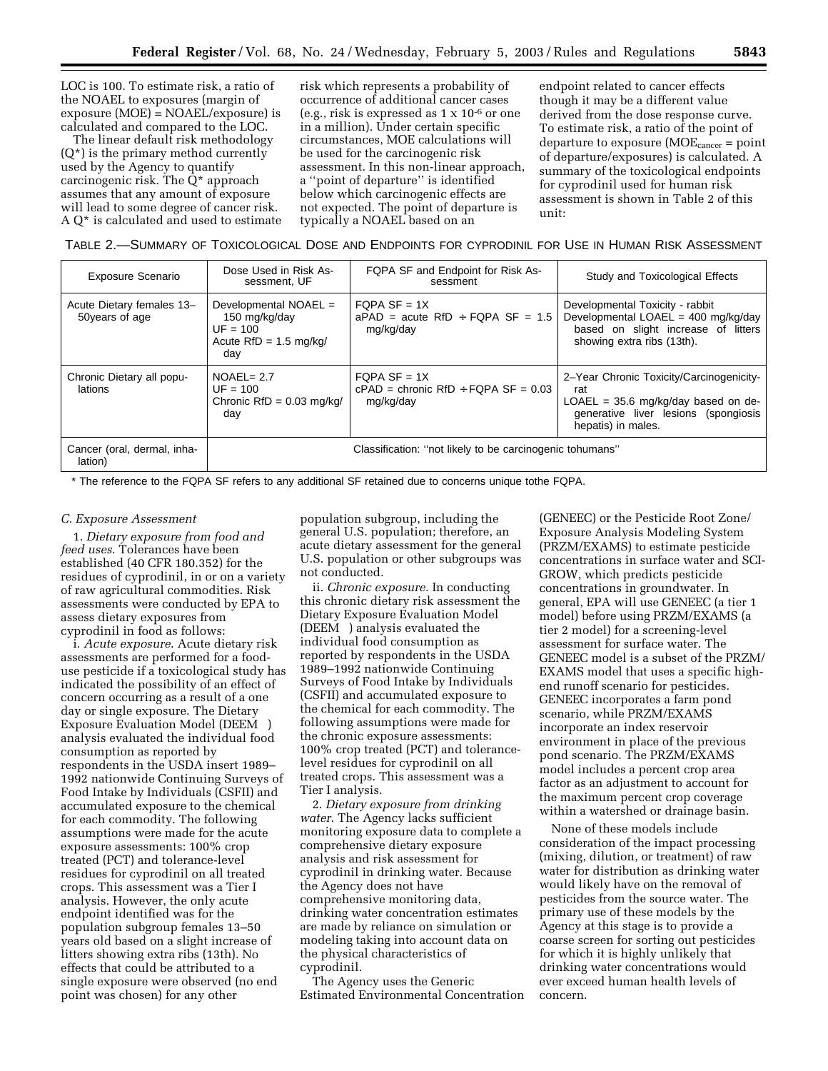LOC is 100. To estimate risk, a ratio of the NOAEL to exposures (margin of exposure (MOE) = NOAEL/exposure) is calculated and compared to the LOC.

The linear default risk methodology  $(Q^*)$  is the primary method currently used by the Agency to quantify carcinogenic risk. The Q\* approach assumes that any amount of exposure will lead to some degree of cancer risk. A Q\* is calculated and used to estimate risk which represents a probability of occurrence of additional cancer cases (e.g., risk is expressed as 1 x 10-6 or one in a million). Under certain specific circumstances, MOE calculations will be used for the carcinogenic risk assessment. In this non-linear approach, a ''point of departure'' is identified below which carcinogenic effects are not expected. The point of departure is typically a NOAEL based on an

endpoint related to cancer effects though it may be a different value derived from the dose response curve. To estimate risk, a ratio of the point of departure to exposure  $(MOE<sub>cancer</sub> = point$ of departure/exposures) is calculated. A summary of the toxicological endpoints for cyprodinil used for human risk assessment is shown in Table 2 of this unit:

TABLE 2.—SUMMARY OF TOXICOLOGICAL DOSE AND ENDPOINTS FOR CYPRODINIL FOR USE IN HUMAN RISK ASSESSMENT

| <b>Exposure Scenario</b>                     | Dose Used in Risk As-<br>sessment, UF                                                   | FQPA SF and Endpoint for Risk As-<br>sessment                        | Study and Toxicological Effects                                                                                                                        |
|----------------------------------------------|-----------------------------------------------------------------------------------------|----------------------------------------------------------------------|--------------------------------------------------------------------------------------------------------------------------------------------------------|
| Acute Dietary females 13-<br>50 years of age | Developmental NOAEL =<br>150 mg/kg/day<br>$UF = 100$<br>Acute $RfD = 1.5$ mg/kg/<br>dav | $FQPA SF = 1X$<br>$aPAD$ = acute RfD ÷ FQPA SF = 1.5<br>mg/kg/day    | Developmental Toxicity - rabbit<br>Developmental LOAEL = $400 \text{ mg/kg/day}$<br>based on slight increase of litters<br>showing extra ribs (13th).  |
| Chronic Dietary all popu-<br>lations         | $NOAEL = 2.7$<br>$UF = 100$<br>Chronic $RfD = 0.03$ mg/kg/<br>day                       | FOPA SF = $1X$<br>$cPAD =$ chronic RfD ÷ FQPA SF = 0.03<br>mg/kg/day | 2-Year Chronic Toxicity/Carcinogenicity-<br>rat<br>$LOAEL = 35.6$ mg/kg/day based on de-<br>generative liver lesions (spongiosis<br>hepatis) in males. |
| Cancer (oral, dermal, inha-<br>lation)       |                                                                                         | Classification: "not likely to be carcinogenic tohumans"             |                                                                                                                                                        |

\* The reference to the FQPA SF refers to any additional SF retained due to concerns unique tothe FQPA.

#### *C. Exposure Assessment*

1. *Dietary exposure from food and feed uses*. Tolerances have been established (40 CFR 180.352) for the residues of cyprodinil, in or on a variety of raw agricultural commodities. Risk assessments were conducted by EPA to assess dietary exposures from cyprodinil in food as follows:

i. *Acute exposure*. Acute dietary risk assessments are performed for a fooduse pesticide if a toxicological study has indicated the possibility of an effect of concern occurring as a result of a one day or single exposure. The Dietary Exposure Evaluation Model (DEEM®) analysis evaluated the individual food consumption as reported by respondents in the USDA insert 1989– 1992 nationwide Continuing Surveys of Food Intake by Individuals (CSFII) and accumulated exposure to the chemical for each commodity. The following assumptions were made for the acute exposure assessments: 100% crop treated (PCT) and tolerance-level residues for cyprodinil on all treated crops. This assessment was a Tier I analysis. However, the only acute endpoint identified was for the population subgroup females 13–50 years old based on a slight increase of litters showing extra ribs (13th). No effects that could be attributed to a single exposure were observed (no end point was chosen) for any other

population subgroup, including the general U.S. population; therefore, an acute dietary assessment for the general U.S. population or other subgroups was not conducted.

ii. *Chronic exposure*. In conducting this chronic dietary risk assessment the Dietary Exposure Evaluation Model (DEEM®) analysis evaluated the individual food consumption as reported by respondents in the USDA 1989–1992 nationwide Continuing Surveys of Food Intake by Individuals (CSFII) and accumulated exposure to the chemical for each commodity. The following assumptions were made for the chronic exposure assessments: 100% crop treated (PCT) and tolerancelevel residues for cyprodinil on all treated crops. This assessment was a Tier I analysis.

2. *Dietary exposure from drinking water*. The Agency lacks sufficient monitoring exposure data to complete a comprehensive dietary exposure analysis and risk assessment for cyprodinil in drinking water. Because the Agency does not have comprehensive monitoring data, drinking water concentration estimates are made by reliance on simulation or modeling taking into account data on the physical characteristics of cyprodinil.

The Agency uses the Generic Estimated Environmental Concentration

(GENEEC) or the Pesticide Root Zone/ Exposure Analysis Modeling System (PRZM/EXAMS) to estimate pesticide concentrations in surface water and SCI-GROW, which predicts pesticide concentrations in groundwater. In general, EPA will use GENEEC (a tier 1 model) before using PRZM/EXAMS (a tier 2 model) for a screening-level assessment for surface water. The GENEEC model is a subset of the PRZM/ EXAMS model that uses a specific highend runoff scenario for pesticides. GENEEC incorporates a farm pond scenario, while PRZM/EXAMS incorporate an index reservoir environment in place of the previous pond scenario. The PRZM/EXAMS model includes a percent crop area factor as an adjustment to account for the maximum percent crop coverage within a watershed or drainage basin.

None of these models include consideration of the impact processing (mixing, dilution, or treatment) of raw water for distribution as drinking water would likely have on the removal of pesticides from the source water. The primary use of these models by the Agency at this stage is to provide a coarse screen for sorting out pesticides for which it is highly unlikely that drinking water concentrations would ever exceed human health levels of concern.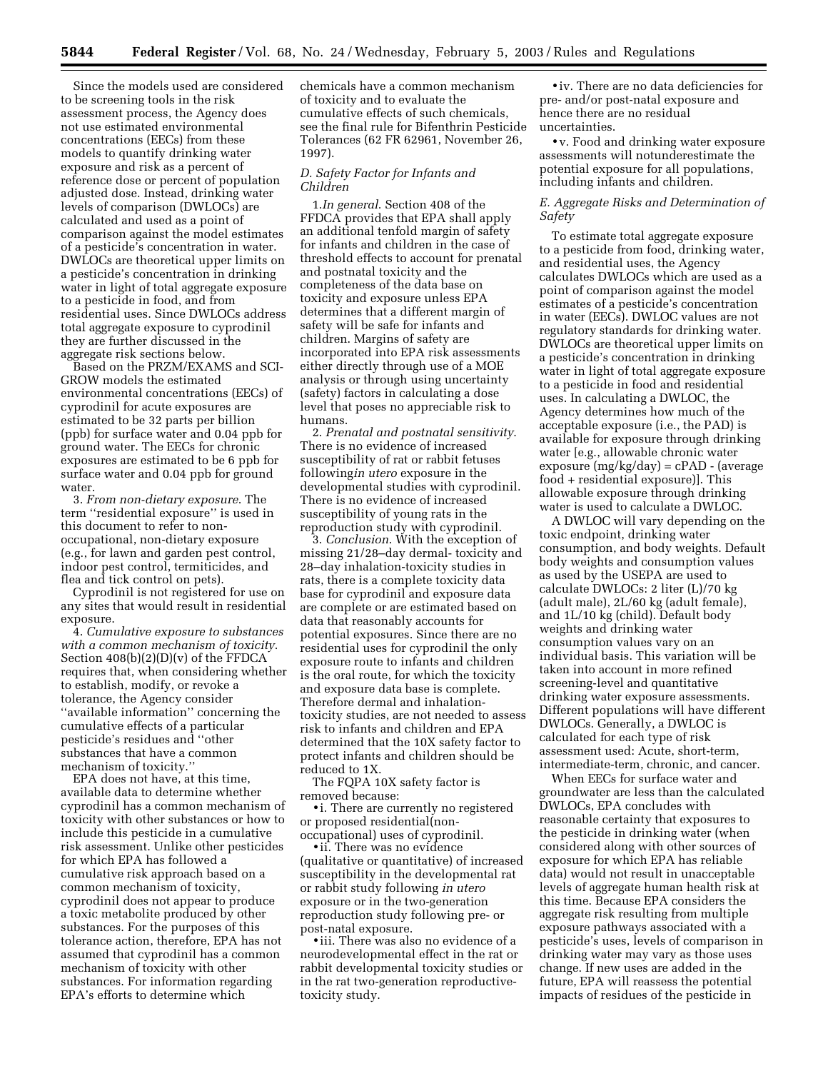Since the models used are considered to be screening tools in the risk assessment process, the Agency does not use estimated environmental concentrations (EECs) from these models to quantify drinking water exposure and risk as a percent of reference dose or percent of population adjusted dose. Instead, drinking water levels of comparison (DWLOCs) are calculated and used as a point of comparison against the model estimates of a pesticide's concentration in water. DWLOCs are theoretical upper limits on a pesticide's concentration in drinking water in light of total aggregate exposure to a pesticide in food, and from residential uses. Since DWLOCs address total aggregate exposure to cyprodinil they are further discussed in the aggregate risk sections below.

Based on the PRZM/EXAMS and SCI-GROW models the estimated environmental concentrations (EECs) of cyprodinil for acute exposures are estimated to be 32 parts per billion (ppb) for surface water and 0.04 ppb for ground water. The EECs for chronic exposures are estimated to be 6 ppb for surface water and 0.04 ppb for ground water.

3. *From non-dietary exposure*. The term ''residential exposure'' is used in this document to refer to nonoccupational, non-dietary exposure (e.g., for lawn and garden pest control, indoor pest control, termiticides, and flea and tick control on pets).

Cyprodinil is not registered for use on any sites that would result in residential exposure.

4. *Cumulative exposure to substances with a common mechanism of toxicity*. Section 408(b)(2)(D)(v) of the FFDCA requires that, when considering whether to establish, modify, or revoke a tolerance, the Agency consider ''available information'' concerning the cumulative effects of a particular pesticide's residues and ''other substances that have a common mechanism of toxicity.''

EPA does not have, at this time, available data to determine whether cyprodinil has a common mechanism of toxicity with other substances or how to include this pesticide in a cumulative risk assessment. Unlike other pesticides for which EPA has followed a cumulative risk approach based on a common mechanism of toxicity, cyprodinil does not appear to produce a toxic metabolite produced by other substances. For the purposes of this tolerance action, therefore, EPA has not assumed that cyprodinil has a common mechanism of toxicity with other substances. For information regarding EPA's efforts to determine which

chemicals have a common mechanism of toxicity and to evaluate the cumulative effects of such chemicals, see the final rule for Bifenthrin Pesticide Tolerances (62 FR 62961, November 26, 1997).

#### *D. Safety Factor for Infants and Children*

1.*In general*. Section 408 of the FFDCA provides that EPA shall apply an additional tenfold margin of safety for infants and children in the case of threshold effects to account for prenatal and postnatal toxicity and the completeness of the data base on toxicity and exposure unless EPA determines that a different margin of safety will be safe for infants and children. Margins of safety are incorporated into EPA risk assessments either directly through use of a MOE analysis or through using uncertainty (safety) factors in calculating a dose level that poses no appreciable risk to humans.

2. *Prenatal and postnatal sensitivity*. There is no evidence of increased susceptibility of rat or rabbit fetuses following*in utero* exposure in the developmental studies with cyprodinil. There is no evidence of increased susceptibility of young rats in the reproduction study with cyprodinil.

3. *Conclusion*. With the exception of missing 21/28–day dermal- toxicity and 28–day inhalation-toxicity studies in rats, there is a complete toxicity data base for cyprodinil and exposure data are complete or are estimated based on data that reasonably accounts for potential exposures. Since there are no residential uses for cyprodinil the only exposure route to infants and children is the oral route, for which the toxicity and exposure data base is complete. Therefore dermal and inhalationtoxicity studies, are not needed to assess risk to infants and children and EPA determined that the 10X safety factor to protect infants and children should be reduced to 1X.

The FQPA 10X safety factor is removed because:

• i. There are currently no registered or proposed residential(nonoccupational) uses of cyprodinil.

• ii. There was no evidence (qualitative or quantitative) of increased susceptibility in the developmental rat or rabbit study following *in utero* exposure or in the two-generation reproduction study following pre- or post-natal exposure.

• iii. There was also no evidence of a neurodevelopmental effect in the rat or rabbit developmental toxicity studies or in the rat two-generation reproductivetoxicity study.

• iv. There are no data deficiencies for pre- and/or post-natal exposure and hence there are no residual uncertainties.

• v. Food and drinking water exposure assessments will notunderestimate the potential exposure for all populations, including infants and children.

## *E. Aggregate Risks and Determination of Safety*

To estimate total aggregate exposure to a pesticide from food, drinking water, and residential uses, the Agency calculates DWLOCs which are used as a point of comparison against the model estimates of a pesticide's concentration in water (EECs). DWLOC values are not regulatory standards for drinking water. DWLOCs are theoretical upper limits on a pesticide's concentration in drinking water in light of total aggregate exposure to a pesticide in food and residential uses. In calculating a DWLOC, the Agency determines how much of the acceptable exposure (i.e., the PAD) is available for exposure through drinking water [e.g., allowable chronic water exposure (mg/kg/day) = cPAD - (average food + residential exposure)]. This allowable exposure through drinking water is used to calculate a DWLOC.

A DWLOC will vary depending on the toxic endpoint, drinking water consumption, and body weights. Default body weights and consumption values as used by the USEPA are used to calculate DWLOCs: 2 liter (L)/70 kg (adult male), 2L/60 kg (adult female), and 1L/10 kg (child). Default body weights and drinking water consumption values vary on an individual basis. This variation will be taken into account in more refined screening-level and quantitative drinking water exposure assessments. Different populations will have different DWLOCs. Generally, a DWLOC is calculated for each type of risk assessment used: Acute, short-term, intermediate-term, chronic, and cancer.

When EECs for surface water and groundwater are less than the calculated DWLOCs, EPA concludes with reasonable certainty that exposures to the pesticide in drinking water (when considered along with other sources of exposure for which EPA has reliable data) would not result in unacceptable levels of aggregate human health risk at this time. Because EPA considers the aggregate risk resulting from multiple exposure pathways associated with a pesticide's uses, levels of comparison in drinking water may vary as those uses change. If new uses are added in the future, EPA will reassess the potential impacts of residues of the pesticide in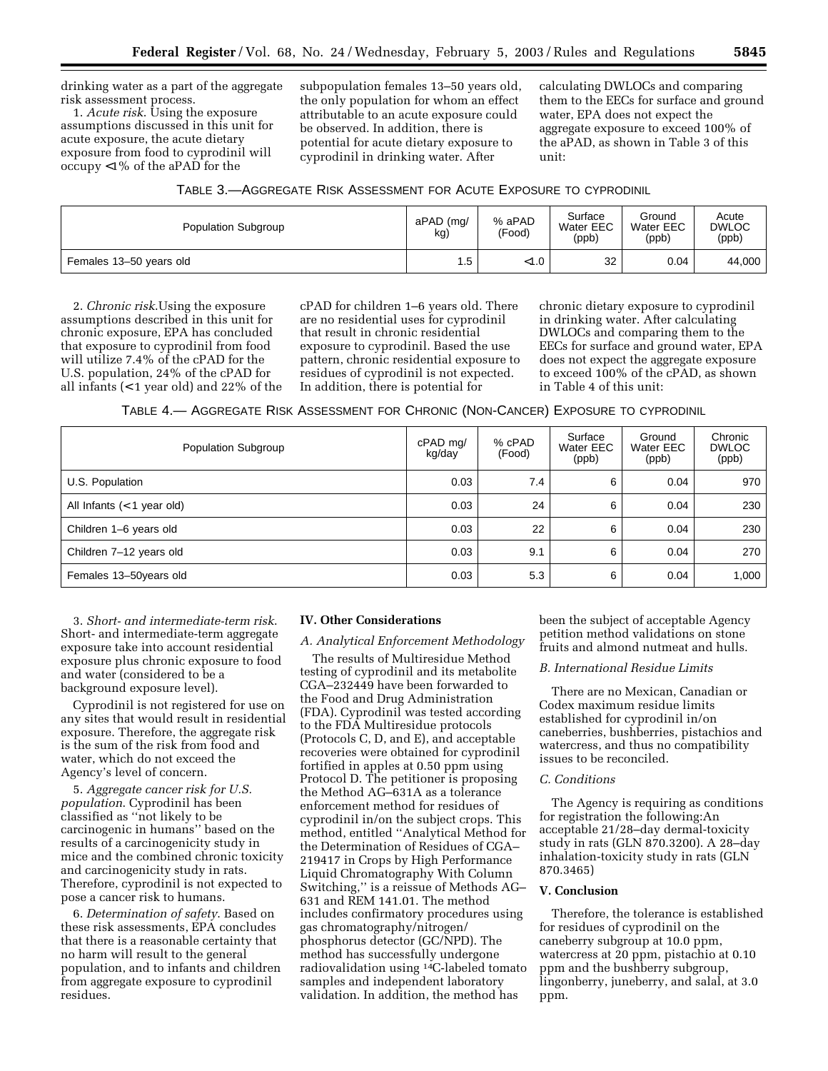drinking water as a part of the aggregate risk assessment process.

1. *Acute risk*. Using the exposure assumptions discussed in this unit for acute exposure, the acute dietary exposure from food to cyprodinil will occupy <1% of the aPAD for the

subpopulation females 13–50 years old, the only population for whom an effect attributable to an acute exposure could be observed. In addition, there is potential for acute dietary exposure to cyprodinil in drinking water. After

calculating DWLOCs and comparing them to the EECs for surface and ground water, EPA does not expect the aggregate exposure to exceed 100% of the aPAD, as shown in Table 3 of this unit:

| TABLE 3.- AGGREGATE RISK ASSESSMENT FOR ACUTE EXPOSURE TO CYPRODINIL |  |  |
|----------------------------------------------------------------------|--|--|
|----------------------------------------------------------------------|--|--|

| Population Subgroup     | aPAD (mg/<br>kg) | % aPAD<br>(Food) | Surface<br>Water EEC<br>(ppb) | Ground<br>Water EEC<br>(ppb) | Acute<br><b>DWLOC</b><br>(ppb) |
|-------------------------|------------------|------------------|-------------------------------|------------------------------|--------------------------------|
| Females 13-50 years old | 5.،              | $<$ 1.0          | 32                            | 0.04                         | 44,000                         |

2. *Chronic risk*.Using the exposure assumptions described in this unit for chronic exposure, EPA has concluded that exposure to cyprodinil from food will utilize 7.4% of the cPAD for the U.S. population, 24% of the cPAD for all infants (< 1 year old) and 22% of the

cPAD for children 1–6 years old. There are no residential uses for cyprodinil that result in chronic residential exposure to cyprodinil. Based the use pattern, chronic residential exposure to residues of cyprodinil is not expected. In addition, there is potential for

chronic dietary exposure to cyprodinil in drinking water. After calculating DWLOCs and comparing them to the EECs for surface and ground water, EPA does not expect the aggregate exposure to exceed 100% of the cPAD, as shown in Table 4 of this unit:

TABLE 4.— AGGREGATE RISK ASSESSMENT FOR CHRONIC (NON-CANCER) EXPOSURE TO CYPRODINIL

| Population Subgroup          | cPAD mg/<br>kg/day | % cPAD<br>(Food) | Surface<br>Water EEC<br>(ppb) | Ground<br>Water EEC<br>(ppb) | Chronic<br><b>DWLOC</b><br>(ppb) |
|------------------------------|--------------------|------------------|-------------------------------|------------------------------|----------------------------------|
| U.S. Population              | 0.03               | 7.4              | 6                             | 0.04                         | 970                              |
| All Infants $(< 1$ year old) | 0.03               | 24               | 6                             | 0.04                         | 230                              |
| Children 1-6 years old       | 0.03               | 22               | 6                             | 0.04                         | 230                              |
| Children 7-12 years old      | 0.03               | 9.1              | 6                             | 0.04                         | 270                              |
| Females 13-50years old       | 0.03               | 5.3              | 6                             | 0.04                         | 1,000                            |

3. *Short- and intermediate-term risk*. Short- and intermediate-term aggregate exposure take into account residential exposure plus chronic exposure to food and water (considered to be a background exposure level).

Cyprodinil is not registered for use on any sites that would result in residential exposure. Therefore, the aggregate risk is the sum of the risk from food and water, which do not exceed the Agency's level of concern.

5. *Aggregate cancer risk for U.S. population*. Cyprodinil has been classified as ''not likely to be carcinogenic in humans'' based on the results of a carcinogenicity study in mice and the combined chronic toxicity and carcinogenicity study in rats. Therefore, cyprodinil is not expected to pose a cancer risk to humans.

6. *Determination of safety*. Based on these risk assessments, EPA concludes that there is a reasonable certainty that no harm will result to the general population, and to infants and children from aggregate exposure to cyprodinil residues.

#### **IV. Other Considerations**

#### *A. Analytical Enforcement Methodology*

The results of Multiresidue Method testing of cyprodinil and its metabolite CGA–232449 have been forwarded to the Food and Drug Administration (FDA). Cyprodinil was tested according to the FDA Multiresidue protocols (Protocols C, D, and E), and acceptable recoveries were obtained for cyprodinil fortified in apples at 0.50 ppm using Protocol D. The petitioner is proposing the Method AG–631A as a tolerance enforcement method for residues of cyprodinil in/on the subject crops. This method, entitled ''Analytical Method for the Determination of Residues of CGA– 219417 in Crops by High Performance Liquid Chromatography With Column Switching,'' is a reissue of Methods AG– 631 and REM 141.01. The method includes confirmatory procedures using gas chromatography/nitrogen/ phosphorus detector (GC/NPD). The method has successfully undergone radiovalidation using 14C-labeled tomato samples and independent laboratory validation. In addition, the method has

been the subject of acceptable Agency petition method validations on stone fruits and almond nutmeat and hulls.

# *B. International Residue Limits*

There are no Mexican, Canadian or Codex maximum residue limits established for cyprodinil in/on caneberries, bushberries, pistachios and watercress, and thus no compatibility issues to be reconciled.

# *C. Conditions*

The Agency is requiring as conditions for registration the following:An acceptable 21/28–day dermal-toxicity study in rats (GLN 870.3200). A 28–day inhalation-toxicity study in rats (GLN 870.3465)

## **V. Conclusion**

Therefore, the tolerance is established for residues of cyprodinil on the caneberry subgroup at 10.0 ppm, watercress at 20 ppm, pistachio at 0.10 ppm and the bushberry subgroup, lingonberry, juneberry, and salal, at 3.0 ppm.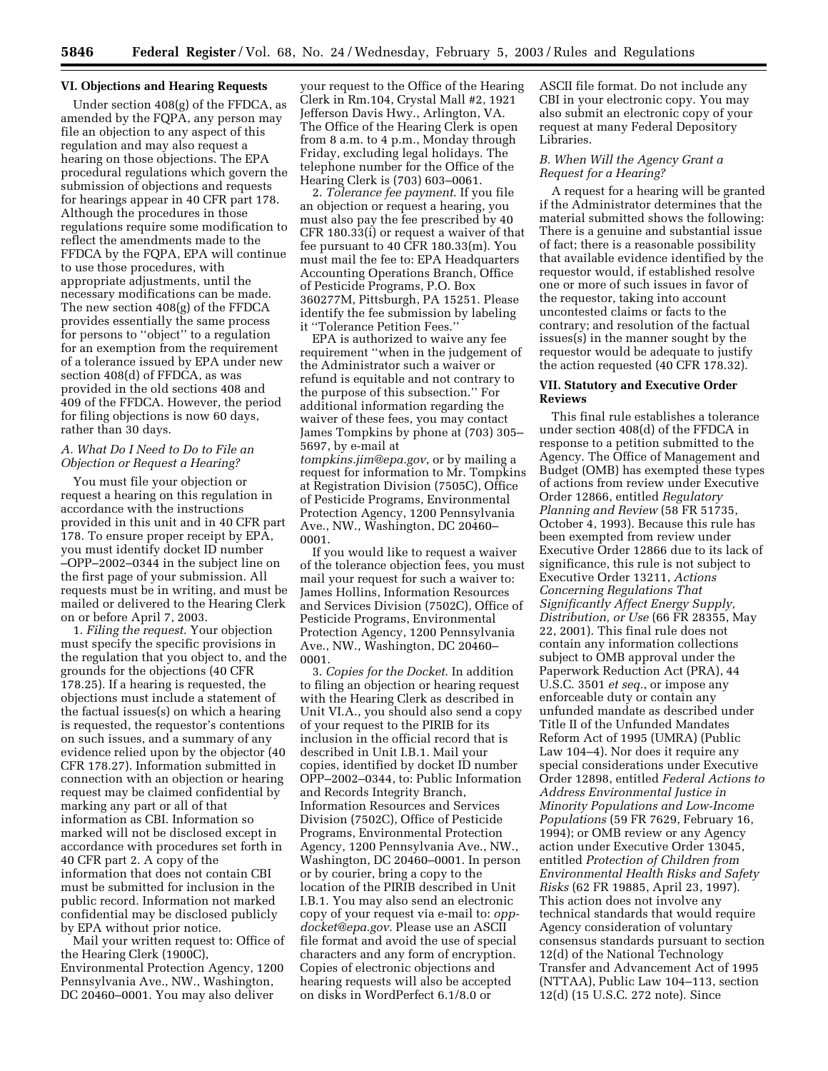#### **VI. Objections and Hearing Requests**

Under section 408(g) of the FFDCA, as amended by the FQPA, any person may file an objection to any aspect of this regulation and may also request a hearing on those objections. The EPA procedural regulations which govern the submission of objections and requests for hearings appear in 40 CFR part 178. Although the procedures in those regulations require some modification to reflect the amendments made to the FFDCA by the FQPA, EPA will continue to use those procedures, with appropriate adjustments, until the necessary modifications can be made. The new section 408(g) of the FFDCA provides essentially the same process for persons to ''object'' to a regulation for an exemption from the requirement of a tolerance issued by EPA under new section 408(d) of FFDCA, as was provided in the old sections 408 and 409 of the FFDCA. However, the period for filing objections is now 60 days, rather than 30 days.

## *A. What Do I Need to Do to File an Objection or Request a Hearing?*

You must file your objection or request a hearing on this regulation in accordance with the instructions provided in this unit and in 40 CFR part 178. To ensure proper receipt by EPA, you must identify docket ID number –OPP–2002–0344 in the subject line on the first page of your submission. All requests must be in writing, and must be mailed or delivered to the Hearing Clerk on or before April 7, 2003.

1. *Filing the request*. Your objection must specify the specific provisions in the regulation that you object to, and the grounds for the objections (40 CFR 178.25). If a hearing is requested, the objections must include a statement of the factual issues(s) on which a hearing is requested, the requestor's contentions on such issues, and a summary of any evidence relied upon by the objector (40 CFR 178.27). Information submitted in connection with an objection or hearing request may be claimed confidential by marking any part or all of that information as CBI. Information so marked will not be disclosed except in accordance with procedures set forth in 40 CFR part 2. A copy of the information that does not contain CBI must be submitted for inclusion in the public record. Information not marked confidential may be disclosed publicly by EPA without prior notice.

Mail your written request to: Office of the Hearing Clerk (1900C), Environmental Protection Agency, 1200 Pennsylvania Ave., NW., Washington, DC 20460–0001. You may also deliver

your request to the Office of the Hearing Clerk in Rm.104, Crystal Mall #2, 1921 Jefferson Davis Hwy., Arlington, VA. The Office of the Hearing Clerk is open from 8 a.m. to 4 p.m., Monday through Friday, excluding legal holidays. The telephone number for the Office of the Hearing Clerk is (703) 603–0061.

2. *Tolerance fee payment*. If you file an objection or request a hearing, you must also pay the fee prescribed by 40 CFR 180.33(i) or request a waiver of that fee pursuant to 40 CFR 180.33(m). You must mail the fee to: EPA Headquarters Accounting Operations Branch, Office of Pesticide Programs, P.O. Box 360277M, Pittsburgh, PA 15251. Please identify the fee submission by labeling it ''Tolerance Petition Fees.''

EPA is authorized to waive any fee requirement ''when in the judgement of the Administrator such a waiver or refund is equitable and not contrary to the purpose of this subsection.'' For additional information regarding the waiver of these fees, you may contact James Tompkins by phone at (703) 305– 5697, by e-mail at

*tompkins.jim@epa.gov*, or by mailing a request for information to Mr. Tompkins at Registration Division (7505C), Office of Pesticide Programs, Environmental Protection Agency, 1200 Pennsylvania Ave., NW., Washington, DC 20460– 0001.

If you would like to request a waiver of the tolerance objection fees, you must mail your request for such a waiver to: James Hollins, Information Resources and Services Division (7502C), Office of Pesticide Programs, Environmental Protection Agency, 1200 Pennsylvania Ave., NW., Washington, DC 20460– 0001.

3. *Copies for the Docket*. In addition to filing an objection or hearing request with the Hearing Clerk as described in Unit VI.A., you should also send a copy of your request to the PIRIB for its inclusion in the official record that is described in Unit I.B.1. Mail your copies, identified by docket ID number OPP–2002–0344, to: Public Information and Records Integrity Branch, Information Resources and Services Division (7502C), Office of Pesticide Programs, Environmental Protection Agency, 1200 Pennsylvania Ave., NW., Washington, DC 20460–0001. In person or by courier, bring a copy to the location of the PIRIB described in Unit I.B.1. You may also send an electronic copy of your request via e-mail to: *oppdocket@epa.gov*. Please use an ASCII file format and avoid the use of special characters and any form of encryption. Copies of electronic objections and hearing requests will also be accepted on disks in WordPerfect 6.1/8.0 or

ASCII file format. Do not include any CBI in your electronic copy. You may also submit an electronic copy of your request at many Federal Depository Libraries.

## *B. When Will the Agency Grant a Request for a Hearing?*

A request for a hearing will be granted if the Administrator determines that the material submitted shows the following: There is a genuine and substantial issue of fact; there is a reasonable possibility that available evidence identified by the requestor would, if established resolve one or more of such issues in favor of the requestor, taking into account uncontested claims or facts to the contrary; and resolution of the factual issues(s) in the manner sought by the requestor would be adequate to justify the action requested (40 CFR 178.32).

## **VII. Statutory and Executive Order Reviews**

This final rule establishes a tolerance under section 408(d) of the FFDCA in response to a petition submitted to the Agency. The Office of Management and Budget (OMB) has exempted these types of actions from review under Executive Order 12866, entitled *Regulatory Planning and Review* (58 FR 51735, October 4, 1993). Because this rule has been exempted from review under Executive Order 12866 due to its lack of significance, this rule is not subject to Executive Order 13211, *Actions Concerning Regulations That Significantly Affect Energy Supply, Distribution, or Use* (66 FR 28355, May 22, 2001). This final rule does not contain any information collections subject to OMB approval under the Paperwork Reduction Act (PRA), 44 U.S.C. 3501 *et seq.*, or impose any enforceable duty or contain any unfunded mandate as described under Title II of the Unfunded Mandates Reform Act of 1995 (UMRA) (Public Law 104–4). Nor does it require any special considerations under Executive Order 12898, entitled *Federal Actions to Address Environmental Justice in Minority Populations and Low-Income Populations* (59 FR 7629, February 16, 1994); or OMB review or any Agency action under Executive Order 13045, entitled *Protection of Children from Environmental Health Risks and Safety Risks* (62 FR 19885, April 23, 1997). This action does not involve any technical standards that would require Agency consideration of voluntary consensus standards pursuant to section 12(d) of the National Technology Transfer and Advancement Act of 1995 (NTTAA), Public Law 104–113, section 12(d) (15 U.S.C. 272 note). Since